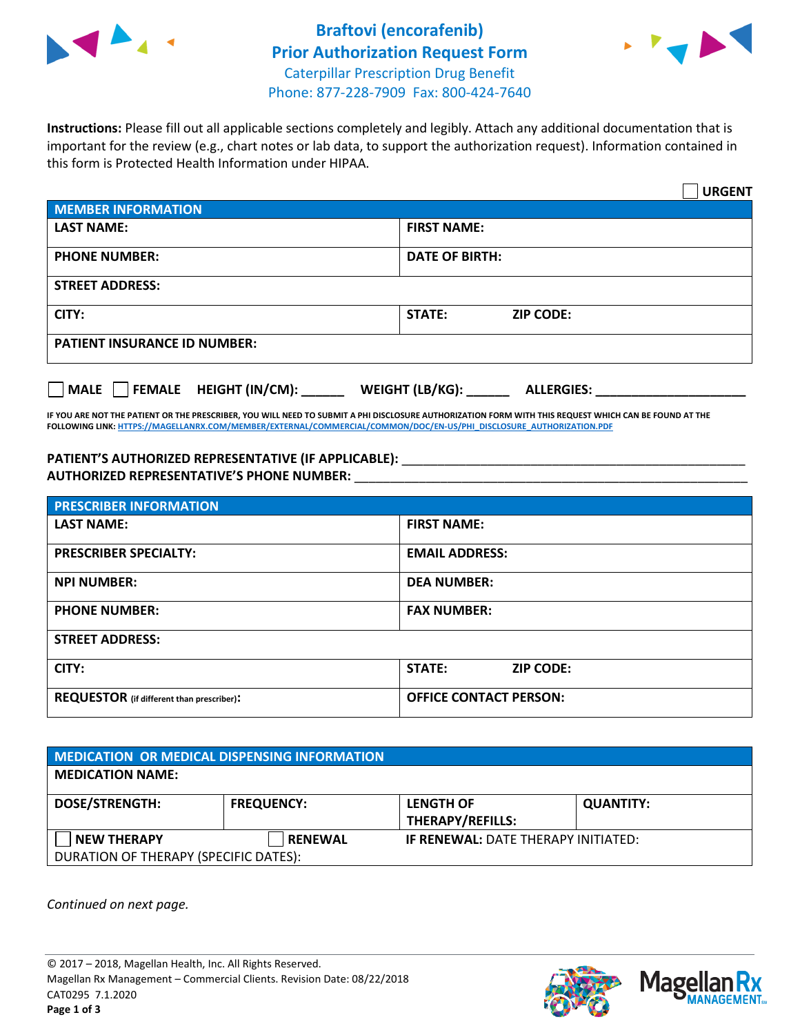



**Instructions:** Please fill out all applicable sections completely and legibly. Attach any additional documentation that is important for the review (e.g., chart notes or lab data, to support the authorization request). Information contained in this form is Protected Health Information under HIPAA.

|                                           | <b>URGENT</b>                        |  |  |
|-------------------------------------------|--------------------------------------|--|--|
| <b>MEMBER INFORMATION</b>                 |                                      |  |  |
| <b>LAST NAME:</b>                         | <b>FIRST NAME:</b>                   |  |  |
| <b>PHONE NUMBER:</b>                      | <b>DATE OF BIRTH:</b>                |  |  |
| <b>STREET ADDRESS:</b>                    |                                      |  |  |
| CITY:                                     | <b>STATE:</b><br><b>ZIP CODE:</b>    |  |  |
| <b>PATIENT INSURANCE ID NUMBER:</b>       |                                      |  |  |
| $\Box$ FEMALE HEIGHT (IN/CM): _<br>  MALE | WEIGHT (LB/KG):<br><b>ALLERGIES:</b> |  |  |

**IF YOU ARE NOT THE PATIENT OR THE PRESCRIBER, YOU WILL NEED TO SUBMIT A PHI DISCLOSURE AUTHORIZATION FORM WITH THIS REQUEST WHICH CAN BE FOUND AT THE FOLLOWING LINK[: HTTPS://MAGELLANRX.COM/MEMBER/EXTERNAL/COMMERCIAL/COMMON/DOC/EN-US/PHI\\_DISCLOSURE\\_AUTHORIZATION.PDF](https://magellanrx.com/member/external/commercial/common/doc/en-us/PHI_Disclosure_Authorization.pdf)**

**PATIENT'S AUTHORIZED REPRESENTATIVE (IF APPLICABLE):** \_\_\_\_\_\_\_\_\_\_\_\_\_\_\_\_\_\_\_\_\_\_\_\_\_\_\_\_\_\_\_\_\_\_\_\_\_\_\_\_\_\_\_\_\_\_\_\_ **AUTHORIZED REPRESENTATIVE'S PHONE NUMBER:** \_\_\_\_\_\_\_\_\_\_\_\_\_\_\_\_\_\_\_\_\_\_\_\_\_\_\_\_\_\_\_\_\_\_\_\_\_\_\_\_\_\_\_\_\_\_\_\_\_\_\_\_\_\_\_

| <b>PRESCRIBER INFORMATION</b>             |                               |  |  |
|-------------------------------------------|-------------------------------|--|--|
| <b>LAST NAME:</b>                         | <b>FIRST NAME:</b>            |  |  |
| <b>PRESCRIBER SPECIALTY:</b>              | <b>EMAIL ADDRESS:</b>         |  |  |
| <b>NPI NUMBER:</b>                        | <b>DEA NUMBER:</b>            |  |  |
| <b>PHONE NUMBER:</b>                      | <b>FAX NUMBER:</b>            |  |  |
| <b>STREET ADDRESS:</b>                    |                               |  |  |
| CITY:                                     | STATE:<br><b>ZIP CODE:</b>    |  |  |
| REQUESTOR (if different than prescriber): | <b>OFFICE CONTACT PERSON:</b> |  |  |

| <b>MEDICATION OR MEDICAL DISPENSING INFORMATION</b> |                   |                                            |                  |  |  |
|-----------------------------------------------------|-------------------|--------------------------------------------|------------------|--|--|
| <b>MEDICATION NAME:</b>                             |                   |                                            |                  |  |  |
| <b>DOSE/STRENGTH:</b>                               | <b>FREQUENCY:</b> | <b>LENGTH OF</b>                           | <b>QUANTITY:</b> |  |  |
|                                                     |                   | <b>THERAPY/REFILLS:</b>                    |                  |  |  |
| <b>NEW THERAPY</b>                                  | <b>RENEWAL</b>    | <b>IF RENEWAL: DATE THERAPY INITIATED:</b> |                  |  |  |
| DURATION OF THERAPY (SPECIFIC DATES):               |                   |                                            |                  |  |  |

*Continued on next page.*

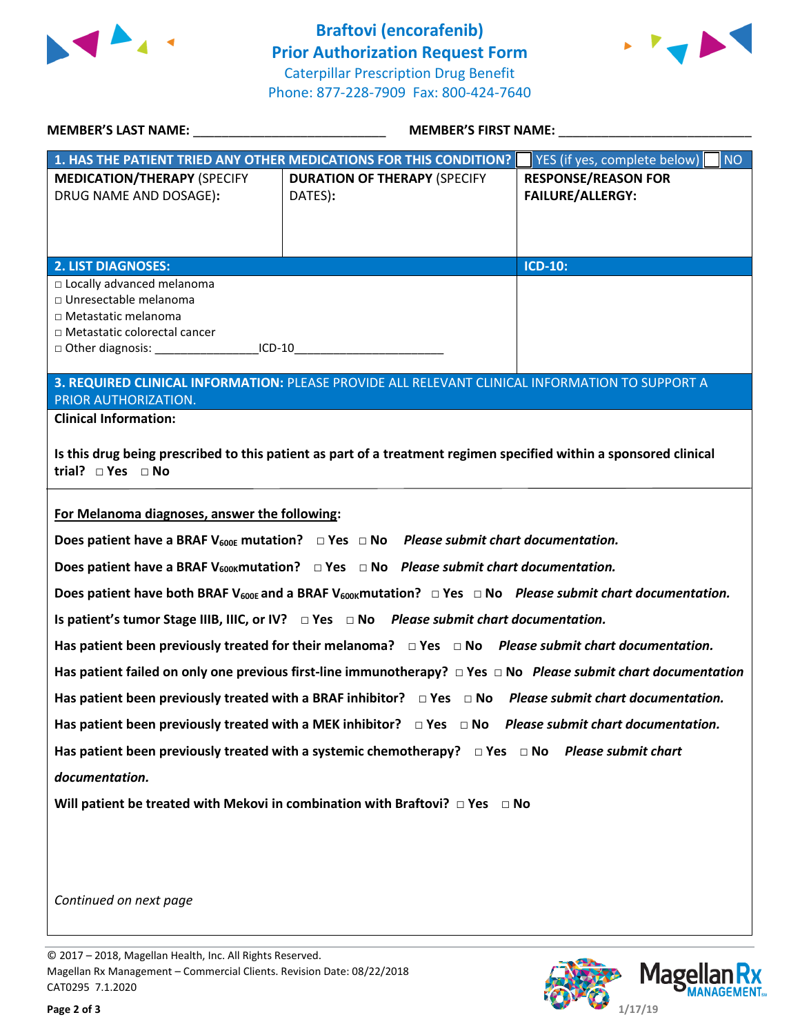

**Braftovi (encorafenib) Prior Authorization Request Form** Caterpillar Prescription Drug Benefit Phone: 877-228-7909 Fax: 800-424-7640



| <b>MEMBER'S LAST NAME:</b>                                                                                                                                                                           |                                                                                                                                              | MEMBER'S FIRST NAME: ___________                      |  |  |
|------------------------------------------------------------------------------------------------------------------------------------------------------------------------------------------------------|----------------------------------------------------------------------------------------------------------------------------------------------|-------------------------------------------------------|--|--|
| 1. HAS THE PATIENT TRIED ANY OTHER MEDICATIONS FOR THIS CONDITION?                                                                                                                                   |                                                                                                                                              | YES (if yes, complete below)<br>NO                    |  |  |
| <b>MEDICATION/THERAPY (SPECIFY</b><br>DRUG NAME AND DOSAGE):                                                                                                                                         | <b>DURATION OF THERAPY (SPECIFY</b><br>DATES):                                                                                               | <b>RESPONSE/REASON FOR</b><br><b>FAILURE/ALLERGY:</b> |  |  |
| <b>2. LIST DIAGNOSES:</b>                                                                                                                                                                            |                                                                                                                                              | <b>ICD-10:</b>                                        |  |  |
| □ Locally advanced melanoma<br>□ Unresectable melanoma<br>□ Metastatic melanoma<br>□ Metastatic colorectal cancer<br>□ Other diagnosis: ____________________ICD-10__________________________________ |                                                                                                                                              |                                                       |  |  |
| PRIOR AUTHORIZATION.                                                                                                                                                                                 | 3. REQUIRED CLINICAL INFORMATION: PLEASE PROVIDE ALL RELEVANT CLINICAL INFORMATION TO SUPPORT A                                              |                                                       |  |  |
| <b>Clinical Information:</b>                                                                                                                                                                         |                                                                                                                                              |                                                       |  |  |
| Is this drug being prescribed to this patient as part of a treatment regimen specified within a sponsored clinical<br>trial? $\Box$ Yes $\Box$ No                                                    |                                                                                                                                              |                                                       |  |  |
| For Melanoma diagnoses, answer the following:                                                                                                                                                        |                                                                                                                                              |                                                       |  |  |
|                                                                                                                                                                                                      | Does patient have a BRAF V <sub>600E</sub> mutation? $\Box$ Yes $\Box$ No Please submit chart documentation.                                 |                                                       |  |  |
|                                                                                                                                                                                                      | Does patient have a BRAF V <sub>600K</sub> mutation? $\Box$ Yes $\Box$ No Please submit chart documentation.                                 |                                                       |  |  |
|                                                                                                                                                                                                      | Does patient have both BRAF V <sub>600E</sub> and a BRAF V <sub>600K</sub> mutation? $\Box$ Yes $\Box$ No Please submit chart documentation. |                                                       |  |  |
|                                                                                                                                                                                                      | Is patient's tumor Stage IIIB, IIIC, or IV? $\Box$ Yes $\Box$ No Please submit chart documentation.                                          |                                                       |  |  |
| Has patient been previously treated for their melanoma? $\Box$ Yes $\Box$ No Please submit chart documentation.                                                                                      |                                                                                                                                              |                                                       |  |  |
| Has patient failed on only one previous first-line immunotherapy? $\Box$ Yes $\Box$ No Please submit chart documentation                                                                             |                                                                                                                                              |                                                       |  |  |
| Has patient been previously treated with a BRAF inhibitor? $\Box$ Yes $\Box$ No Please submit chart documentation.                                                                                   |                                                                                                                                              |                                                       |  |  |
| Has patient been previously treated with a MEK inhibitor? $\Box$ Yes $\Box$ No Please submit chart documentation.                                                                                    |                                                                                                                                              |                                                       |  |  |
| Has patient been previously treated with a systemic chemotherapy? $\Box$ Yes $\Box$ No Please submit chart<br>documentation.                                                                         |                                                                                                                                              |                                                       |  |  |
|                                                                                                                                                                                                      |                                                                                                                                              |                                                       |  |  |
| Will patient be treated with Mekovi in combination with Braftovi? $\Box$ Yes $\Box$ No                                                                                                               |                                                                                                                                              |                                                       |  |  |
|                                                                                                                                                                                                      |                                                                                                                                              |                                                       |  |  |
|                                                                                                                                                                                                      |                                                                                                                                              |                                                       |  |  |
| Continued on next page                                                                                                                                                                               |                                                                                                                                              |                                                       |  |  |

© 2017 – 2018, Magellan Health, Inc. All Rights Reserved. Magellan Rx Management – Commercial Clients. Revision Date: 08/22/2018 CAT0295 7.1.2020